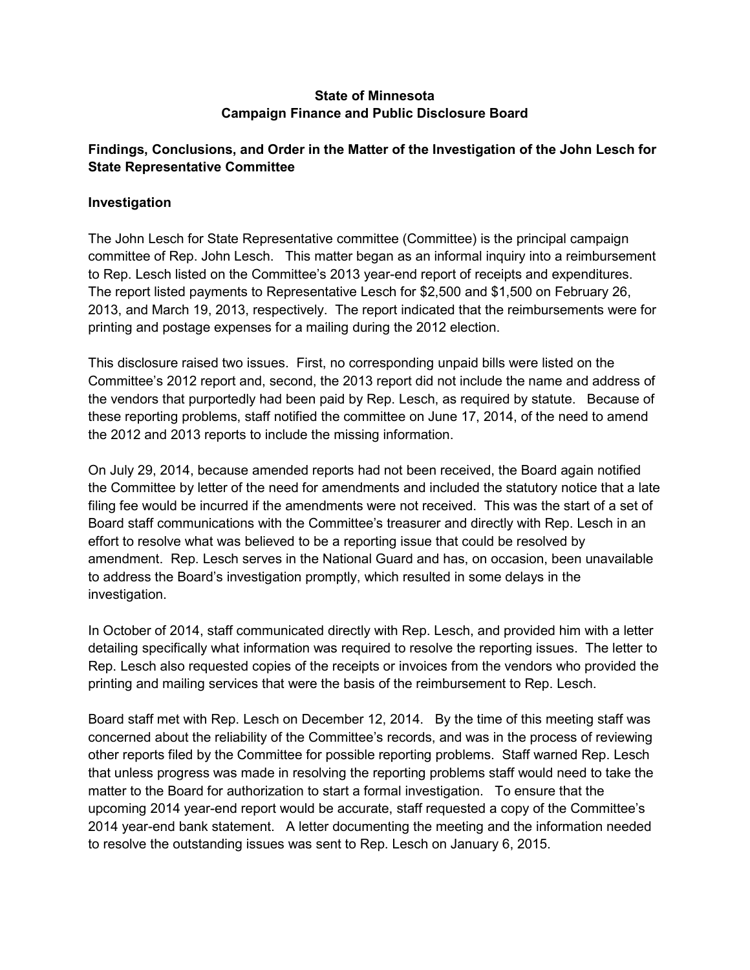### **State of Minnesota Campaign Finance and Public Disclosure Board**

## **Findings, Conclusions, and Order in the Matter of the Investigation of the John Lesch for State Representative Committee**

### **Investigation**

The John Lesch for State Representative committee (Committee) is the principal campaign committee of Rep. John Lesch. This matter began as an informal inquiry into a reimbursement to Rep. Lesch listed on the Committee's 2013 year-end report of receipts and expenditures. The report listed payments to Representative Lesch for \$2,500 and \$1,500 on February 26, 2013, and March 19, 2013, respectively. The report indicated that the reimbursements were for printing and postage expenses for a mailing during the 2012 election.

This disclosure raised two issues. First, no corresponding unpaid bills were listed on the Committee's 2012 report and, second, the 2013 report did not include the name and address of the vendors that purportedly had been paid by Rep. Lesch, as required by statute. Because of these reporting problems, staff notified the committee on June 17, 2014, of the need to amend the 2012 and 2013 reports to include the missing information.

On July 29, 2014, because amended reports had not been received, the Board again notified the Committee by letter of the need for amendments and included the statutory notice that a late filing fee would be incurred if the amendments were not received. This was the start of a set of Board staff communications with the Committee's treasurer and directly with Rep. Lesch in an effort to resolve what was believed to be a reporting issue that could be resolved by amendment. Rep. Lesch serves in the National Guard and has, on occasion, been unavailable to address the Board's investigation promptly, which resulted in some delays in the investigation.

In October of 2014, staff communicated directly with Rep. Lesch, and provided him with a letter detailing specifically what information was required to resolve the reporting issues. The letter to Rep. Lesch also requested copies of the receipts or invoices from the vendors who provided the printing and mailing services that were the basis of the reimbursement to Rep. Lesch.

Board staff met with Rep. Lesch on December 12, 2014. By the time of this meeting staff was concerned about the reliability of the Committee's records, and was in the process of reviewing other reports filed by the Committee for possible reporting problems. Staff warned Rep. Lesch that unless progress was made in resolving the reporting problems staff would need to take the matter to the Board for authorization to start a formal investigation. To ensure that the upcoming 2014 year-end report would be accurate, staff requested a copy of the Committee's 2014 year-end bank statement. A letter documenting the meeting and the information needed to resolve the outstanding issues was sent to Rep. Lesch on January 6, 2015.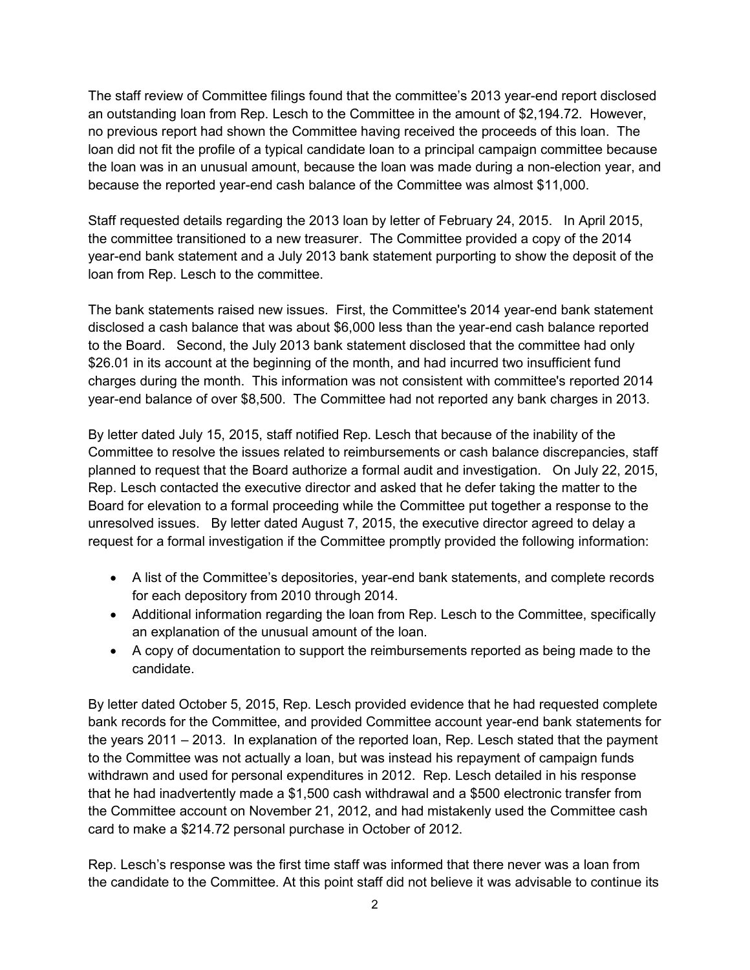The staff review of Committee filings found that the committee's 2013 year-end report disclosed an outstanding loan from Rep. Lesch to the Committee in the amount of \$2,194.72. However, no previous report had shown the Committee having received the proceeds of this loan. The loan did not fit the profile of a typical candidate loan to a principal campaign committee because the loan was in an unusual amount, because the loan was made during a non-election year, and because the reported year-end cash balance of the Committee was almost \$11,000.

Staff requested details regarding the 2013 loan by letter of February 24, 2015. In April 2015, the committee transitioned to a new treasurer. The Committee provided a copy of the 2014 year-end bank statement and a July 2013 bank statement purporting to show the deposit of the loan from Rep. Lesch to the committee.

The bank statements raised new issues. First, the Committee's 2014 year-end bank statement disclosed a cash balance that was about \$6,000 less than the year-end cash balance reported to the Board. Second, the July 2013 bank statement disclosed that the committee had only \$26.01 in its account at the beginning of the month, and had incurred two insufficient fund charges during the month. This information was not consistent with committee's reported 2014 year-end balance of over \$8,500. The Committee had not reported any bank charges in 2013.

By letter dated July 15, 2015, staff notified Rep. Lesch that because of the inability of the Committee to resolve the issues related to reimbursements or cash balance discrepancies, staff planned to request that the Board authorize a formal audit and investigation. On July 22, 2015, Rep. Lesch contacted the executive director and asked that he defer taking the matter to the Board for elevation to a formal proceeding while the Committee put together a response to the unresolved issues. By letter dated August 7, 2015, the executive director agreed to delay a request for a formal investigation if the Committee promptly provided the following information:

- A list of the Committee's depositories, year-end bank statements, and complete records for each depository from 2010 through 2014.
- Additional information regarding the loan from Rep. Lesch to the Committee, specifically an explanation of the unusual amount of the loan.
- A copy of documentation to support the reimbursements reported as being made to the candidate.

By letter dated October 5, 2015, Rep. Lesch provided evidence that he had requested complete bank records for the Committee, and provided Committee account year-end bank statements for the years 2011 – 2013. In explanation of the reported loan, Rep. Lesch stated that the payment to the Committee was not actually a loan, but was instead his repayment of campaign funds withdrawn and used for personal expenditures in 2012. Rep. Lesch detailed in his response that he had inadvertently made a \$1,500 cash withdrawal and a \$500 electronic transfer from the Committee account on November 21, 2012, and had mistakenly used the Committee cash card to make a \$214.72 personal purchase in October of 2012.

Rep. Lesch's response was the first time staff was informed that there never was a loan from the candidate to the Committee. At this point staff did not believe it was advisable to continue its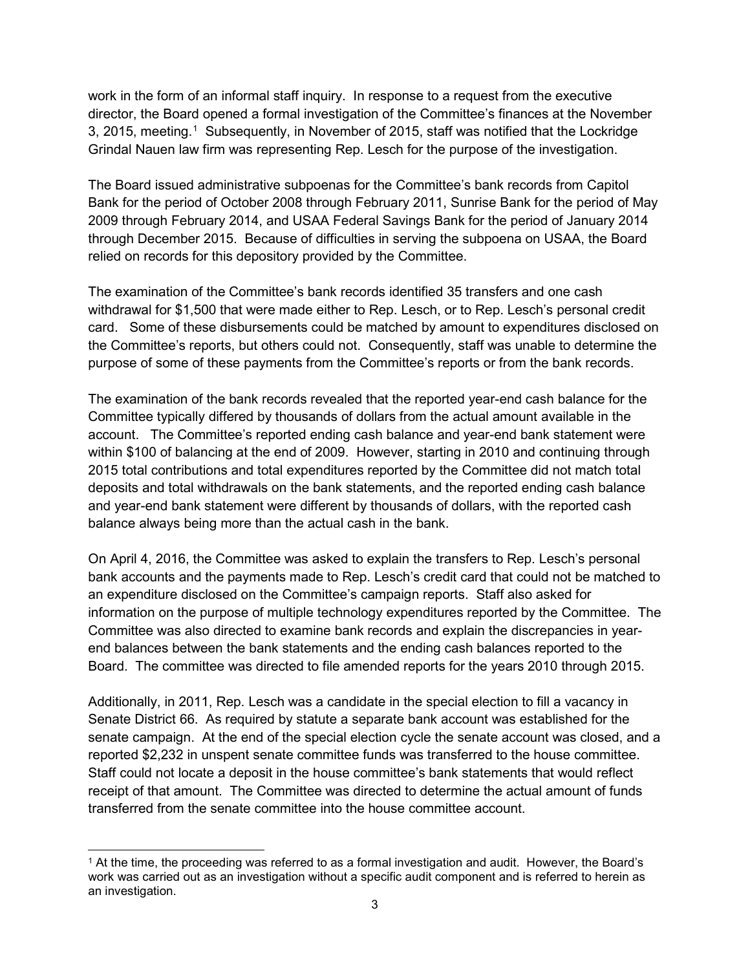work in the form of an informal staff inquiry. In response to a request from the executive director, the Board opened a formal investigation of the Committee's finances at the November 3, 20[1](#page-2-0)5, meeting.<sup>1</sup> Subsequently, in November of 2015, staff was notified that the Lockridge Grindal Nauen law firm was representing Rep. Lesch for the purpose of the investigation.

The Board issued administrative subpoenas for the Committee's bank records from Capitol Bank for the period of October 2008 through February 2011, Sunrise Bank for the period of May 2009 through February 2014, and USAA Federal Savings Bank for the period of January 2014 through December 2015. Because of difficulties in serving the subpoena on USAA, the Board relied on records for this depository provided by the Committee.

The examination of the Committee's bank records identified 35 transfers and one cash withdrawal for \$1,500 that were made either to Rep. Lesch, or to Rep. Lesch's personal credit card. Some of these disbursements could be matched by amount to expenditures disclosed on the Committee's reports, but others could not. Consequently, staff was unable to determine the purpose of some of these payments from the Committee's reports or from the bank records.

The examination of the bank records revealed that the reported year-end cash balance for the Committee typically differed by thousands of dollars from the actual amount available in the account. The Committee's reported ending cash balance and year-end bank statement were within \$100 of balancing at the end of 2009. However, starting in 2010 and continuing through 2015 total contributions and total expenditures reported by the Committee did not match total deposits and total withdrawals on the bank statements, and the reported ending cash balance and year-end bank statement were different by thousands of dollars, with the reported cash balance always being more than the actual cash in the bank.

On April 4, 2016, the Committee was asked to explain the transfers to Rep. Lesch's personal bank accounts and the payments made to Rep. Lesch's credit card that could not be matched to an expenditure disclosed on the Committee's campaign reports. Staff also asked for information on the purpose of multiple technology expenditures reported by the Committee. The Committee was also directed to examine bank records and explain the discrepancies in yearend balances between the bank statements and the ending cash balances reported to the Board. The committee was directed to file amended reports for the years 2010 through 2015.

Additionally, in 2011, Rep. Lesch was a candidate in the special election to fill a vacancy in Senate District 66. As required by statute a separate bank account was established for the senate campaign. At the end of the special election cycle the senate account was closed, and a reported \$2,232 in unspent senate committee funds was transferred to the house committee. Staff could not locate a deposit in the house committee's bank statements that would reflect receipt of that amount. The Committee was directed to determine the actual amount of funds transferred from the senate committee into the house committee account.

<span id="page-2-0"></span> <sup>1</sup> At the time, the proceeding was referred to as a formal investigation and audit. However, the Board's work was carried out as an investigation without a specific audit component and is referred to herein as an investigation.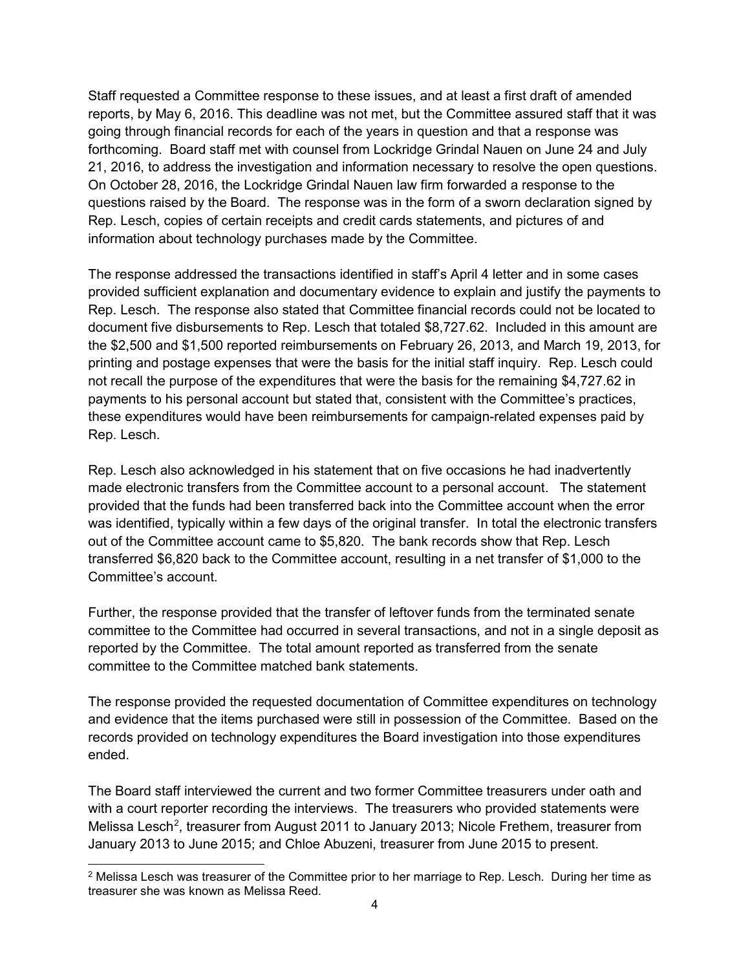Staff requested a Committee response to these issues, and at least a first draft of amended reports, by May 6, 2016. This deadline was not met, but the Committee assured staff that it was going through financial records for each of the years in question and that a response was forthcoming. Board staff met with counsel from Lockridge Grindal Nauen on June 24 and July 21, 2016, to address the investigation and information necessary to resolve the open questions. On October 28, 2016, the Lockridge Grindal Nauen law firm forwarded a response to the questions raised by the Board. The response was in the form of a sworn declaration signed by Rep. Lesch, copies of certain receipts and credit cards statements, and pictures of and information about technology purchases made by the Committee.

The response addressed the transactions identified in staff's April 4 letter and in some cases provided sufficient explanation and documentary evidence to explain and justify the payments to Rep. Lesch. The response also stated that Committee financial records could not be located to document five disbursements to Rep. Lesch that totaled \$8,727.62. Included in this amount are the \$2,500 and \$1,500 reported reimbursements on February 26, 2013, and March 19, 2013, for printing and postage expenses that were the basis for the initial staff inquiry. Rep. Lesch could not recall the purpose of the expenditures that were the basis for the remaining \$4,727.62 in payments to his personal account but stated that, consistent with the Committee's practices, these expenditures would have been reimbursements for campaign-related expenses paid by Rep. Lesch.

Rep. Lesch also acknowledged in his statement that on five occasions he had inadvertently made electronic transfers from the Committee account to a personal account. The statement provided that the funds had been transferred back into the Committee account when the error was identified, typically within a few days of the original transfer. In total the electronic transfers out of the Committee account came to \$5,820. The bank records show that Rep. Lesch transferred \$6,820 back to the Committee account, resulting in a net transfer of \$1,000 to the Committee's account.

Further, the response provided that the transfer of leftover funds from the terminated senate committee to the Committee had occurred in several transactions, and not in a single deposit as reported by the Committee. The total amount reported as transferred from the senate committee to the Committee matched bank statements.

The response provided the requested documentation of Committee expenditures on technology and evidence that the items purchased were still in possession of the Committee. Based on the records provided on technology expenditures the Board investigation into those expenditures ended.

The Board staff interviewed the current and two former Committee treasurers under oath and with a court reporter recording the interviews. The treasurers who provided statements were Melissa Lesch<sup>[2](#page-3-0)</sup>, treasurer from August 2011 to January 2013; Nicole Frethem, treasurer from January 2013 to June 2015; and Chloe Abuzeni, treasurer from June 2015 to present.

<span id="page-3-0"></span><sup>&</sup>lt;sup>2</sup> Melissa Lesch was treasurer of the Committee prior to her marriage to Rep. Lesch. During her time as treasurer she was known as Melissa Reed.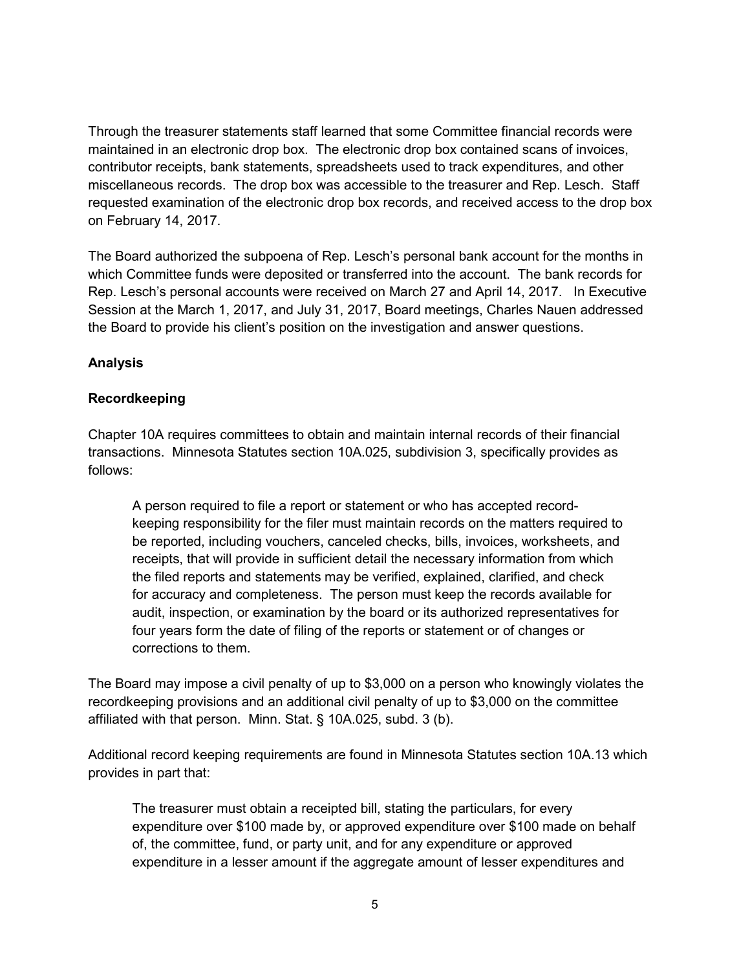Through the treasurer statements staff learned that some Committee financial records were maintained in an electronic drop box. The electronic drop box contained scans of invoices, contributor receipts, bank statements, spreadsheets used to track expenditures, and other miscellaneous records. The drop box was accessible to the treasurer and Rep. Lesch. Staff requested examination of the electronic drop box records, and received access to the drop box on February 14, 2017.

The Board authorized the subpoena of Rep. Lesch's personal bank account for the months in which Committee funds were deposited or transferred into the account. The bank records for Rep. Lesch's personal accounts were received on March 27 and April 14, 2017. In Executive Session at the March 1, 2017, and July 31, 2017, Board meetings, Charles Nauen addressed the Board to provide his client's position on the investigation and answer questions.

### **Analysis**

#### **Recordkeeping**

Chapter 10A requires committees to obtain and maintain internal records of their financial transactions. Minnesota Statutes section 10A.025, subdivision 3, specifically provides as follows:

A person required to file a report or statement or who has accepted recordkeeping responsibility for the filer must maintain records on the matters required to be reported, including vouchers, canceled checks, bills, invoices, worksheets, and receipts, that will provide in sufficient detail the necessary information from which the filed reports and statements may be verified, explained, clarified, and check for accuracy and completeness. The person must keep the records available for audit, inspection, or examination by the board or its authorized representatives for four years form the date of filing of the reports or statement or of changes or corrections to them.

The Board may impose a civil penalty of up to \$3,000 on a person who knowingly violates the recordkeeping provisions and an additional civil penalty of up to \$3,000 on the committee affiliated with that person. Minn. Stat. § 10A.025, subd. 3 (b).

Additional record keeping requirements are found in Minnesota Statutes section 10A.13 which provides in part that:

The treasurer must obtain a receipted bill, stating the particulars, for every expenditure over \$100 made by, or approved expenditure over \$100 made on behalf of, the committee, fund, or party unit, and for any expenditure or approved expenditure in a lesser amount if the aggregate amount of lesser expenditures and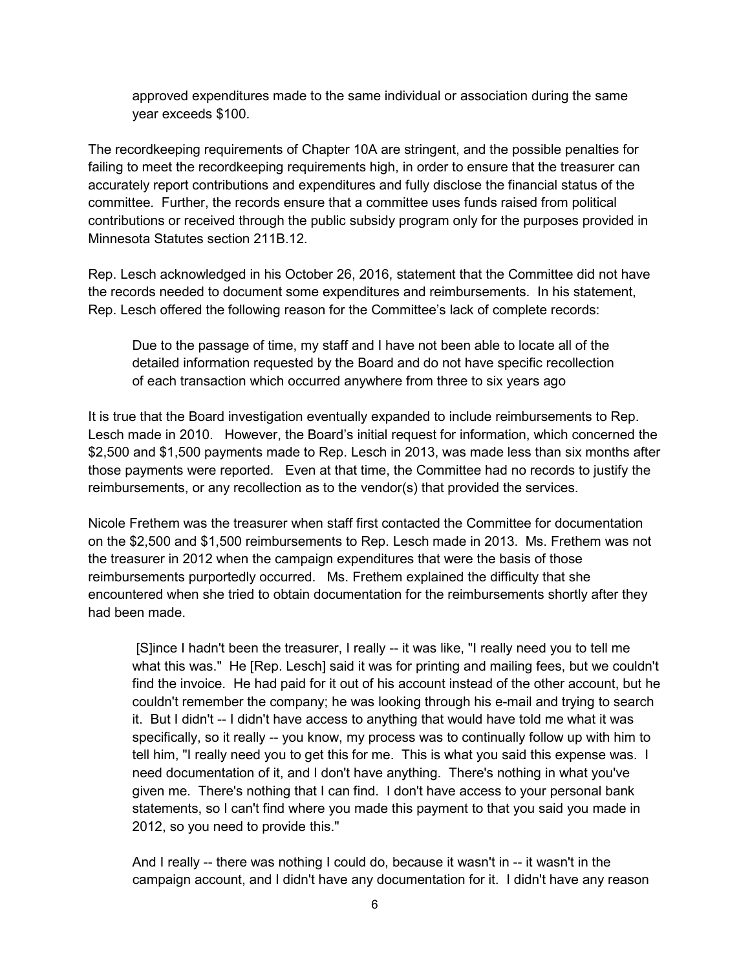approved expenditures made to the same individual or association during the same year exceeds \$100.

The recordkeeping requirements of Chapter 10A are stringent, and the possible penalties for failing to meet the recordkeeping requirements high, in order to ensure that the treasurer can accurately report contributions and expenditures and fully disclose the financial status of the committee. Further, the records ensure that a committee uses funds raised from political contributions or received through the public subsidy program only for the purposes provided in Minnesota Statutes section 211B.12.

Rep. Lesch acknowledged in his October 26, 2016, statement that the Committee did not have the records needed to document some expenditures and reimbursements. In his statement, Rep. Lesch offered the following reason for the Committee's lack of complete records:

Due to the passage of time, my staff and I have not been able to locate all of the detailed information requested by the Board and do not have specific recollection of each transaction which occurred anywhere from three to six years ago

It is true that the Board investigation eventually expanded to include reimbursements to Rep. Lesch made in 2010. However, the Board's initial request for information, which concerned the \$2,500 and \$1,500 payments made to Rep. Lesch in 2013, was made less than six months after those payments were reported. Even at that time, the Committee had no records to justify the reimbursements, or any recollection as to the vendor(s) that provided the services.

Nicole Frethem was the treasurer when staff first contacted the Committee for documentation on the \$2,500 and \$1,500 reimbursements to Rep. Lesch made in 2013. Ms. Frethem was not the treasurer in 2012 when the campaign expenditures that were the basis of those reimbursements purportedly occurred. Ms. Frethem explained the difficulty that she encountered when she tried to obtain documentation for the reimbursements shortly after they had been made.

[S]ince I hadn't been the treasurer, I really -- it was like, "I really need you to tell me what this was." He [Rep. Lesch] said it was for printing and mailing fees, but we couldn't find the invoice. He had paid for it out of his account instead of the other account, but he couldn't remember the company; he was looking through his e-mail and trying to search it. But I didn't -- I didn't have access to anything that would have told me what it was specifically, so it really -- you know, my process was to continually follow up with him to tell him, "I really need you to get this for me. This is what you said this expense was. I need documentation of it, and I don't have anything. There's nothing in what you've given me. There's nothing that I can find. I don't have access to your personal bank statements, so I can't find where you made this payment to that you said you made in 2012, so you need to provide this."

And I really -- there was nothing I could do, because it wasn't in -- it wasn't in the campaign account, and I didn't have any documentation for it. I didn't have any reason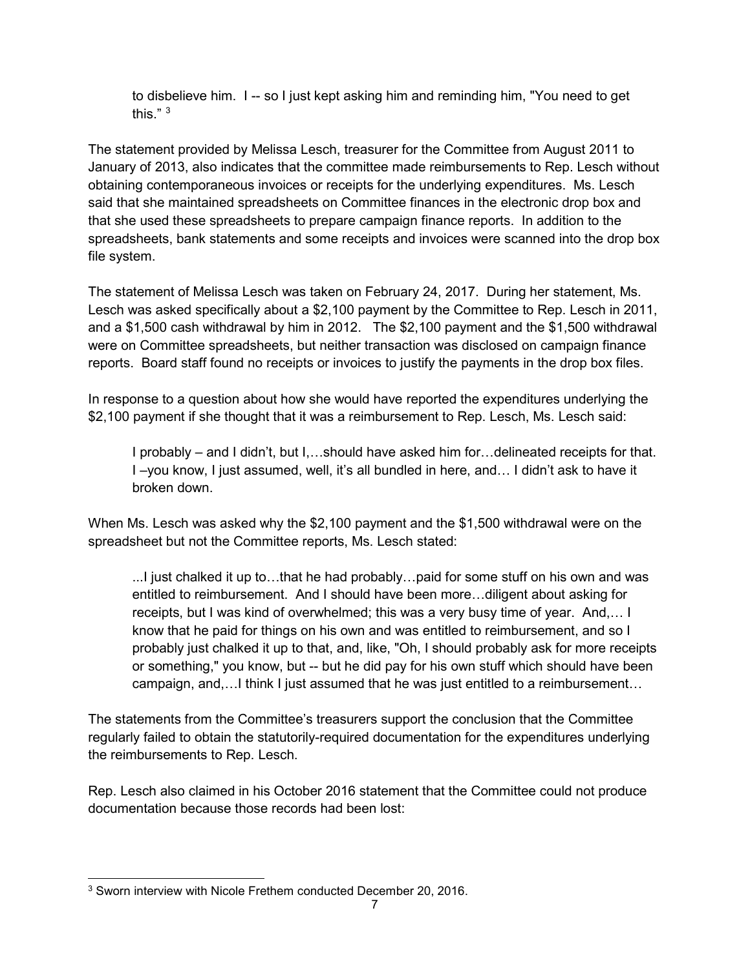to disbelieve him. I -- so I just kept asking him and reminding him, "You need to get this." $3$ 

The statement provided by Melissa Lesch, treasurer for the Committee from August 2011 to January of 2013, also indicates that the committee made reimbursements to Rep. Lesch without obtaining contemporaneous invoices or receipts for the underlying expenditures. Ms. Lesch said that she maintained spreadsheets on Committee finances in the electronic drop box and that she used these spreadsheets to prepare campaign finance reports. In addition to the spreadsheets, bank statements and some receipts and invoices were scanned into the drop box file system.

The statement of Melissa Lesch was taken on February 24, 2017. During her statement, Ms. Lesch was asked specifically about a \$2,100 payment by the Committee to Rep. Lesch in 2011, and a \$1,500 cash withdrawal by him in 2012. The \$2,100 payment and the \$1,500 withdrawal were on Committee spreadsheets, but neither transaction was disclosed on campaign finance reports. Board staff found no receipts or invoices to justify the payments in the drop box files.

In response to a question about how she would have reported the expenditures underlying the \$2,100 payment if she thought that it was a reimbursement to Rep. Lesch, Ms. Lesch said:

I probably – and I didn't, but I,…should have asked him for…delineated receipts for that. I –you know, I just assumed, well, it's all bundled in here, and… I didn't ask to have it broken down.

When Ms. Lesch was asked why the \$2,100 payment and the \$1,500 withdrawal were on the spreadsheet but not the Committee reports, Ms. Lesch stated:

...I just chalked it up to…that he had probably…paid for some stuff on his own and was entitled to reimbursement. And I should have been more…diligent about asking for receipts, but I was kind of overwhelmed; this was a very busy time of year. And,… I know that he paid for things on his own and was entitled to reimbursement, and so I probably just chalked it up to that, and, like, "Oh, I should probably ask for more receipts or something," you know, but -- but he did pay for his own stuff which should have been campaign, and,…I think I just assumed that he was just entitled to a reimbursement…

The statements from the Committee's treasurers support the conclusion that the Committee regularly failed to obtain the statutorily-required documentation for the expenditures underlying the reimbursements to Rep. Lesch.

Rep. Lesch also claimed in his October 2016 statement that the Committee could not produce documentation because those records had been lost:

<span id="page-6-0"></span> <sup>3</sup> Sworn interview with Nicole Frethem conducted December 20, 2016.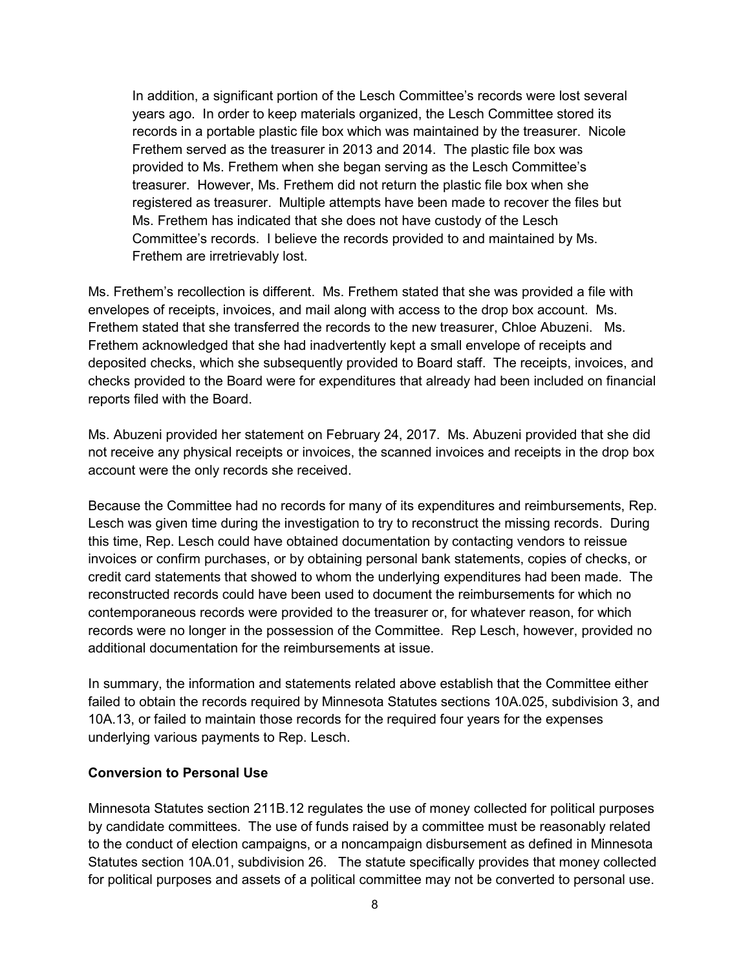In addition, a significant portion of the Lesch Committee's records were lost several years ago. In order to keep materials organized, the Lesch Committee stored its records in a portable plastic file box which was maintained by the treasurer. Nicole Frethem served as the treasurer in 2013 and 2014. The plastic file box was provided to Ms. Frethem when she began serving as the Lesch Committee's treasurer. However, Ms. Frethem did not return the plastic file box when she registered as treasurer. Multiple attempts have been made to recover the files but Ms. Frethem has indicated that she does not have custody of the Lesch Committee's records. I believe the records provided to and maintained by Ms. Frethem are irretrievably lost.

Ms. Frethem's recollection is different. Ms. Frethem stated that she was provided a file with envelopes of receipts, invoices, and mail along with access to the drop box account. Ms. Frethem stated that she transferred the records to the new treasurer, Chloe Abuzeni. Ms. Frethem acknowledged that she had inadvertently kept a small envelope of receipts and deposited checks, which she subsequently provided to Board staff. The receipts, invoices, and checks provided to the Board were for expenditures that already had been included on financial reports filed with the Board.

Ms. Abuzeni provided her statement on February 24, 2017. Ms. Abuzeni provided that she did not receive any physical receipts or invoices, the scanned invoices and receipts in the drop box account were the only records she received.

Because the Committee had no records for many of its expenditures and reimbursements, Rep. Lesch was given time during the investigation to try to reconstruct the missing records. During this time, Rep. Lesch could have obtained documentation by contacting vendors to reissue invoices or confirm purchases, or by obtaining personal bank statements, copies of checks, or credit card statements that showed to whom the underlying expenditures had been made. The reconstructed records could have been used to document the reimbursements for which no contemporaneous records were provided to the treasurer or, for whatever reason, for which records were no longer in the possession of the Committee. Rep Lesch, however, provided no additional documentation for the reimbursements at issue.

In summary, the information and statements related above establish that the Committee either failed to obtain the records required by Minnesota Statutes sections 10A.025, subdivision 3, and 10A.13, or failed to maintain those records for the required four years for the expenses underlying various payments to Rep. Lesch.

#### **Conversion to Personal Use**

Minnesota Statutes section 211B.12 regulates the use of money collected for political purposes by candidate committees. The use of funds raised by a committee must be reasonably related to the conduct of election campaigns, or a noncampaign disbursement as defined in Minnesota Statutes section 10A.01, subdivision 26. The statute specifically provides that money collected for political purposes and assets of a political committee may not be converted to personal use.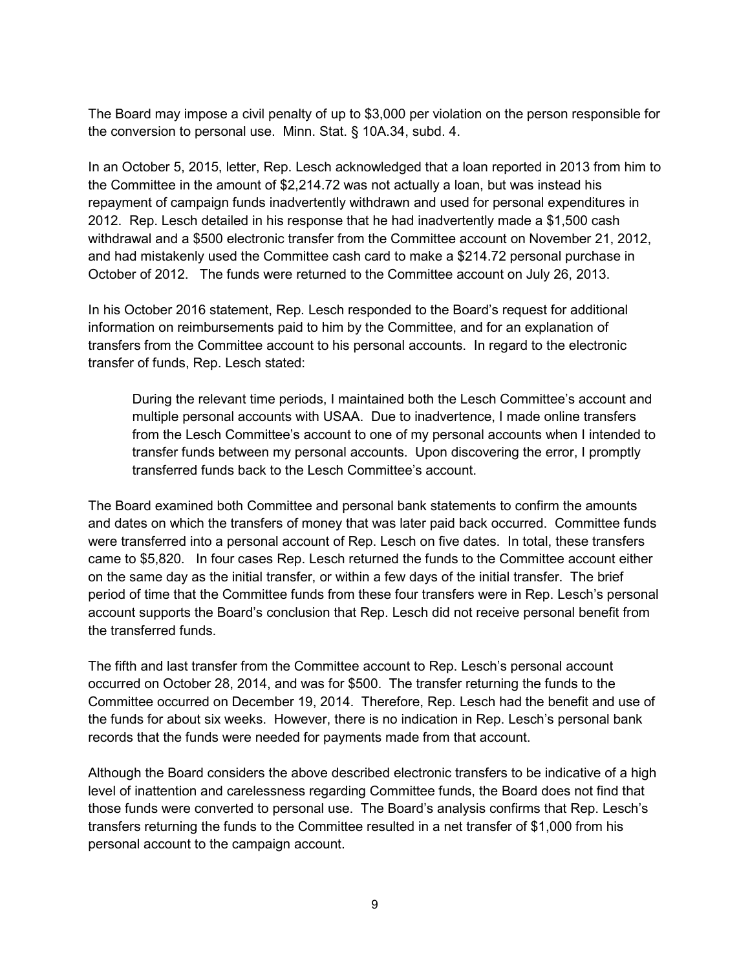The Board may impose a civil penalty of up to \$3,000 per violation on the person responsible for the conversion to personal use. Minn. Stat. § 10A.34, subd. 4.

In an October 5, 2015, letter, Rep. Lesch acknowledged that a loan reported in 2013 from him to the Committee in the amount of \$2,214.72 was not actually a loan, but was instead his repayment of campaign funds inadvertently withdrawn and used for personal expenditures in 2012. Rep. Lesch detailed in his response that he had inadvertently made a \$1,500 cash withdrawal and a \$500 electronic transfer from the Committee account on November 21, 2012, and had mistakenly used the Committee cash card to make a \$214.72 personal purchase in October of 2012. The funds were returned to the Committee account on July 26, 2013.

In his October 2016 statement, Rep. Lesch responded to the Board's request for additional information on reimbursements paid to him by the Committee, and for an explanation of transfers from the Committee account to his personal accounts. In regard to the electronic transfer of funds, Rep. Lesch stated:

During the relevant time periods, I maintained both the Lesch Committee's account and multiple personal accounts with USAA. Due to inadvertence, I made online transfers from the Lesch Committee's account to one of my personal accounts when I intended to transfer funds between my personal accounts. Upon discovering the error, I promptly transferred funds back to the Lesch Committee's account.

The Board examined both Committee and personal bank statements to confirm the amounts and dates on which the transfers of money that was later paid back occurred. Committee funds were transferred into a personal account of Rep. Lesch on five dates. In total, these transfers came to \$5,820. In four cases Rep. Lesch returned the funds to the Committee account either on the same day as the initial transfer, or within a few days of the initial transfer. The brief period of time that the Committee funds from these four transfers were in Rep. Lesch's personal account supports the Board's conclusion that Rep. Lesch did not receive personal benefit from the transferred funds.

The fifth and last transfer from the Committee account to Rep. Lesch's personal account occurred on October 28, 2014, and was for \$500. The transfer returning the funds to the Committee occurred on December 19, 2014. Therefore, Rep. Lesch had the benefit and use of the funds for about six weeks. However, there is no indication in Rep. Lesch's personal bank records that the funds were needed for payments made from that account.

Although the Board considers the above described electronic transfers to be indicative of a high level of inattention and carelessness regarding Committee funds, the Board does not find that those funds were converted to personal use. The Board's analysis confirms that Rep. Lesch's transfers returning the funds to the Committee resulted in a net transfer of \$1,000 from his personal account to the campaign account.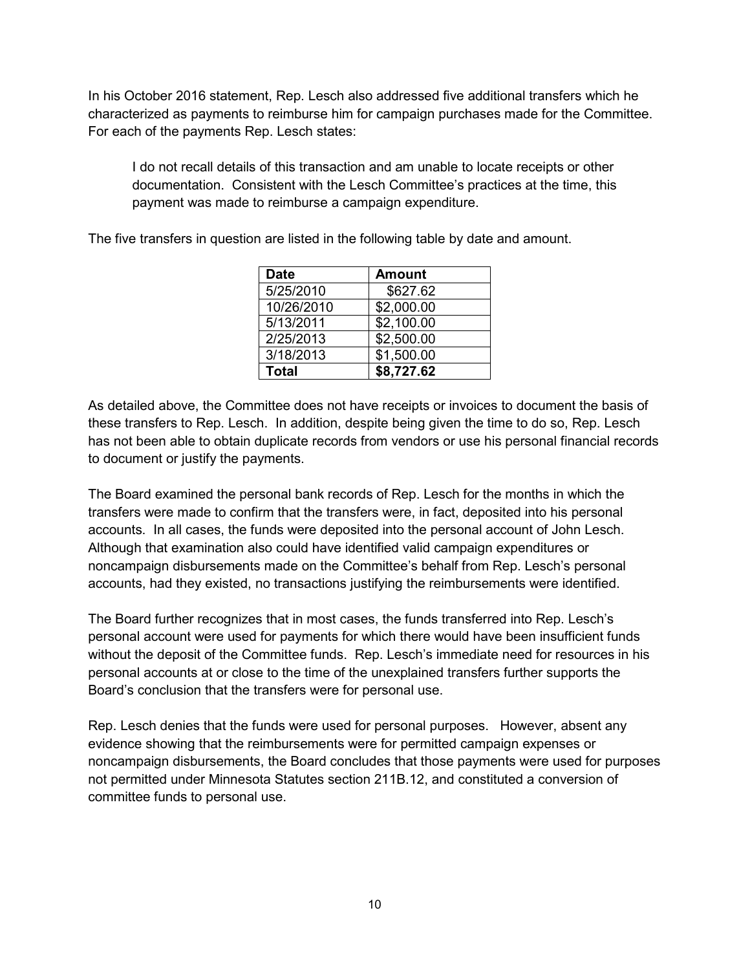In his October 2016 statement, Rep. Lesch also addressed five additional transfers which he characterized as payments to reimburse him for campaign purchases made for the Committee. For each of the payments Rep. Lesch states:

I do not recall details of this transaction and am unable to locate receipts or other documentation. Consistent with the Lesch Committee's practices at the time, this payment was made to reimburse a campaign expenditure.

The five transfers in question are listed in the following table by date and amount.

| <b>Date</b> | <b>Amount</b> |
|-------------|---------------|
| 5/25/2010   | \$627.62      |
| 10/26/2010  | \$2,000.00    |
| 5/13/2011   | \$2,100.00    |
| 2/25/2013   | \$2,500.00    |
| 3/18/2013   | \$1,500.00    |
| Total       | \$8,727.62    |

As detailed above, the Committee does not have receipts or invoices to document the basis of these transfers to Rep. Lesch. In addition, despite being given the time to do so, Rep. Lesch has not been able to obtain duplicate records from vendors or use his personal financial records to document or justify the payments.

The Board examined the personal bank records of Rep. Lesch for the months in which the transfers were made to confirm that the transfers were, in fact, deposited into his personal accounts. In all cases, the funds were deposited into the personal account of John Lesch. Although that examination also could have identified valid campaign expenditures or noncampaign disbursements made on the Committee's behalf from Rep. Lesch's personal accounts, had they existed, no transactions justifying the reimbursements were identified.

The Board further recognizes that in most cases, the funds transferred into Rep. Lesch's personal account were used for payments for which there would have been insufficient funds without the deposit of the Committee funds. Rep. Lesch's immediate need for resources in his personal accounts at or close to the time of the unexplained transfers further supports the Board's conclusion that the transfers were for personal use.

Rep. Lesch denies that the funds were used for personal purposes. However, absent any evidence showing that the reimbursements were for permitted campaign expenses or noncampaign disbursements, the Board concludes that those payments were used for purposes not permitted under Minnesota Statutes section 211B.12, and constituted a conversion of committee funds to personal use.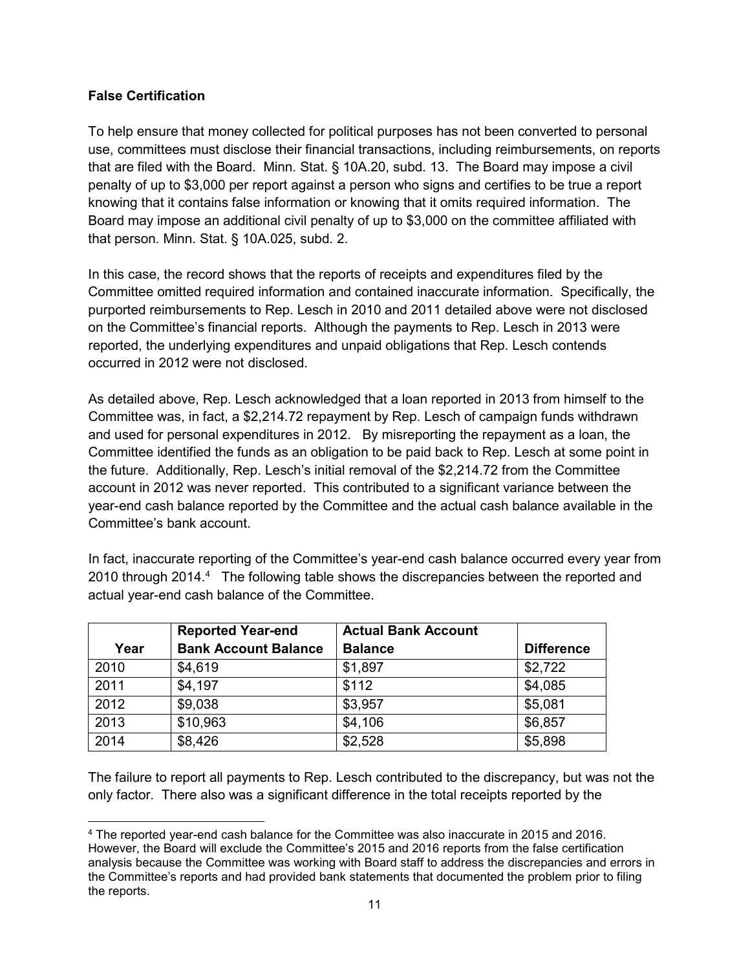## **False Certification**

To help ensure that money collected for political purposes has not been converted to personal use, committees must disclose their financial transactions, including reimbursements, on reports that are filed with the Board. Minn. Stat. § 10A.20, subd. 13. The Board may impose a civil penalty of up to \$3,000 per report against a person who signs and certifies to be true a report knowing that it contains false information or knowing that it omits required information. The Board may impose an additional civil penalty of up to \$3,000 on the committee affiliated with that person. Minn. Stat. § 10A.025, subd. 2.

In this case, the record shows that the reports of receipts and expenditures filed by the Committee omitted required information and contained inaccurate information. Specifically, the purported reimbursements to Rep. Lesch in 2010 and 2011 detailed above were not disclosed on the Committee's financial reports. Although the payments to Rep. Lesch in 2013 were reported, the underlying expenditures and unpaid obligations that Rep. Lesch contends occurred in 2012 were not disclosed.

As detailed above, Rep. Lesch acknowledged that a loan reported in 2013 from himself to the Committee was, in fact, a \$2,214.72 repayment by Rep. Lesch of campaign funds withdrawn and used for personal expenditures in 2012. By misreporting the repayment as a loan, the Committee identified the funds as an obligation to be paid back to Rep. Lesch at some point in the future. Additionally, Rep. Lesch's initial removal of the \$2,214.72 from the Committee account in 2012 was never reported. This contributed to a significant variance between the year-end cash balance reported by the Committee and the actual cash balance available in the Committee's bank account.

In fact, inaccurate reporting of the Committee's year-end cash balance occurred every year from 2010 through 201[4](#page-10-0).<sup>4</sup> The following table shows the discrepancies between the reported and actual year-end cash balance of the Committee.

|      | <b>Reported Year-end</b>    | <b>Actual Bank Account</b> |                   |
|------|-----------------------------|----------------------------|-------------------|
| Year | <b>Bank Account Balance</b> | <b>Balance</b>             | <b>Difference</b> |
| 2010 | \$4,619                     | \$1,897                    | \$2,722           |
| 2011 | \$4,197                     | \$112                      | \$4,085           |
| 2012 | \$9,038                     | \$3,957                    | \$5,081           |
| 2013 | \$10,963                    | \$4,106                    | \$6,857           |
| 2014 | \$8,426                     | \$2,528                    | \$5,898           |

The failure to report all payments to Rep. Lesch contributed to the discrepancy, but was not the only factor. There also was a significant difference in the total receipts reported by the

<span id="page-10-0"></span> <sup>4</sup> The reported year-end cash balance for the Committee was also inaccurate in 2015 and 2016. However, the Board will exclude the Committee's 2015 and 2016 reports from the false certification analysis because the Committee was working with Board staff to address the discrepancies and errors in the Committee's reports and had provided bank statements that documented the problem prior to filing the reports.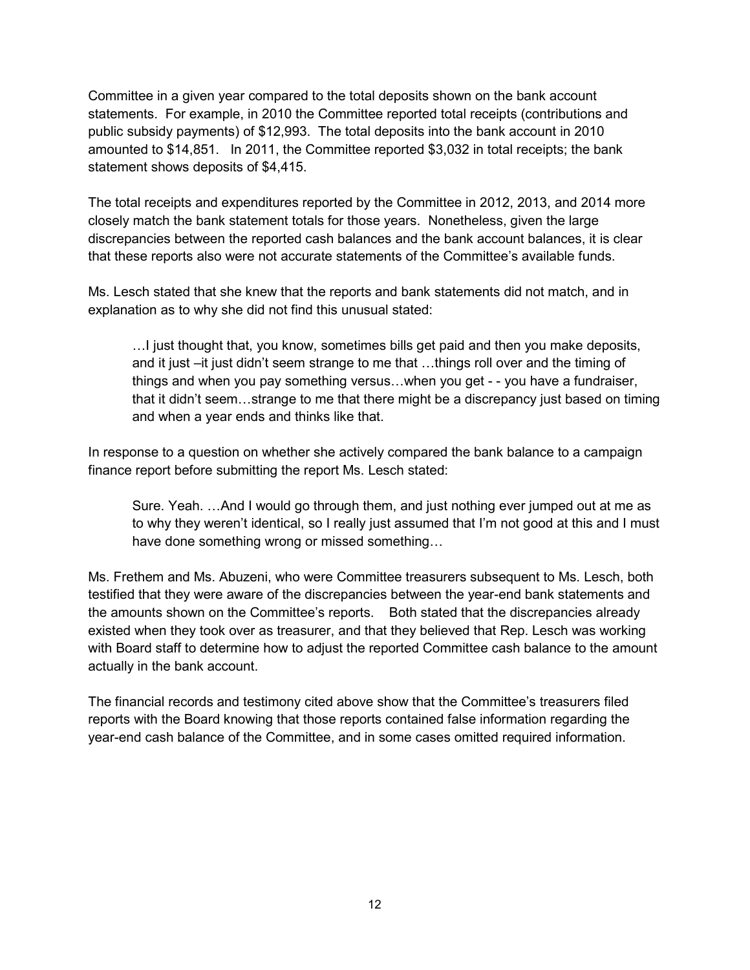Committee in a given year compared to the total deposits shown on the bank account statements. For example, in 2010 the Committee reported total receipts (contributions and public subsidy payments) of \$12,993. The total deposits into the bank account in 2010 amounted to \$14,851. In 2011, the Committee reported \$3,032 in total receipts; the bank statement shows deposits of \$4,415.

The total receipts and expenditures reported by the Committee in 2012, 2013, and 2014 more closely match the bank statement totals for those years. Nonetheless, given the large discrepancies between the reported cash balances and the bank account balances, it is clear that these reports also were not accurate statements of the Committee's available funds.

Ms. Lesch stated that she knew that the reports and bank statements did not match, and in explanation as to why she did not find this unusual stated:

…I just thought that, you know, sometimes bills get paid and then you make deposits, and it just –it just didn't seem strange to me that …things roll over and the timing of things and when you pay something versus…when you get - - you have a fundraiser, that it didn't seem…strange to me that there might be a discrepancy just based on timing and when a year ends and thinks like that.

In response to a question on whether she actively compared the bank balance to a campaign finance report before submitting the report Ms. Lesch stated:

Sure. Yeah. …And I would go through them, and just nothing ever jumped out at me as to why they weren't identical, so I really just assumed that I'm not good at this and I must have done something wrong or missed something…

Ms. Frethem and Ms. Abuzeni, who were Committee treasurers subsequent to Ms. Lesch, both testified that they were aware of the discrepancies between the year-end bank statements and the amounts shown on the Committee's reports. Both stated that the discrepancies already existed when they took over as treasurer, and that they believed that Rep. Lesch was working with Board staff to determine how to adjust the reported Committee cash balance to the amount actually in the bank account.

The financial records and testimony cited above show that the Committee's treasurers filed reports with the Board knowing that those reports contained false information regarding the year-end cash balance of the Committee, and in some cases omitted required information.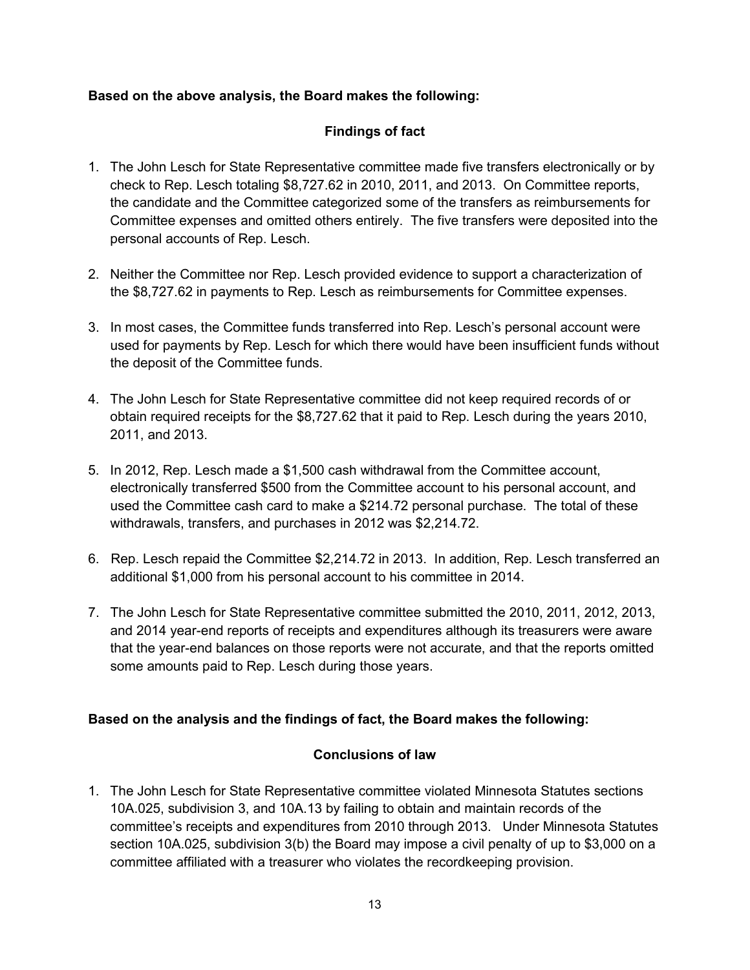## **Based on the above analysis, the Board makes the following:**

# **Findings of fact**

- 1. The John Lesch for State Representative committee made five transfers electronically or by check to Rep. Lesch totaling \$8,727.62 in 2010, 2011, and 2013. On Committee reports, the candidate and the Committee categorized some of the transfers as reimbursements for Committee expenses and omitted others entirely. The five transfers were deposited into the personal accounts of Rep. Lesch.
- 2. Neither the Committee nor Rep. Lesch provided evidence to support a characterization of the \$8,727.62 in payments to Rep. Lesch as reimbursements for Committee expenses.
- 3. In most cases, the Committee funds transferred into Rep. Lesch's personal account were used for payments by Rep. Lesch for which there would have been insufficient funds without the deposit of the Committee funds.
- 4. The John Lesch for State Representative committee did not keep required records of or obtain required receipts for the \$8,727.62 that it paid to Rep. Lesch during the years 2010, 2011, and 2013.
- 5. In 2012, Rep. Lesch made a \$1,500 cash withdrawal from the Committee account, electronically transferred \$500 from the Committee account to his personal account, and used the Committee cash card to make a \$214.72 personal purchase. The total of these withdrawals, transfers, and purchases in 2012 was \$2,214.72.
- 6. Rep. Lesch repaid the Committee \$2,214.72 in 2013. In addition, Rep. Lesch transferred an additional \$1,000 from his personal account to his committee in 2014.
- 7. The John Lesch for State Representative committee submitted the 2010, 2011, 2012, 2013, and 2014 year-end reports of receipts and expenditures although its treasurers were aware that the year-end balances on those reports were not accurate, and that the reports omitted some amounts paid to Rep. Lesch during those years.

### **Based on the analysis and the findings of fact, the Board makes the following:**

### **Conclusions of law**

1. The John Lesch for State Representative committee violated Minnesota Statutes sections 10A.025, subdivision 3, and 10A.13 by failing to obtain and maintain records of the committee's receipts and expenditures from 2010 through 2013. Under Minnesota Statutes section 10A.025, subdivision 3(b) the Board may impose a civil penalty of up to \$3,000 on a committee affiliated with a treasurer who violates the recordkeeping provision.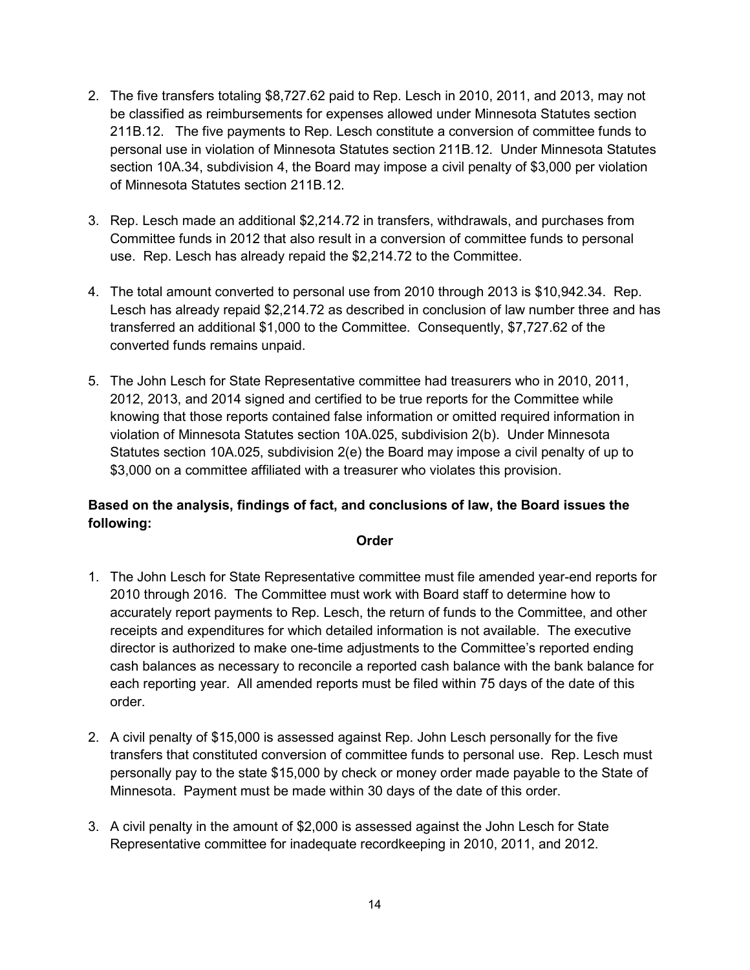- 2. The five transfers totaling \$8,727.62 paid to Rep. Lesch in 2010, 2011, and 2013, may not be classified as reimbursements for expenses allowed under Minnesota Statutes section 211B.12. The five payments to Rep. Lesch constitute a conversion of committee funds to personal use in violation of Minnesota Statutes section 211B.12. Under Minnesota Statutes section 10A.34, subdivision 4, the Board may impose a civil penalty of \$3,000 per violation of Minnesota Statutes section 211B.12.
- 3. Rep. Lesch made an additional \$2,214.72 in transfers, withdrawals, and purchases from Committee funds in 2012 that also result in a conversion of committee funds to personal use. Rep. Lesch has already repaid the \$2,214.72 to the Committee.
- 4. The total amount converted to personal use from 2010 through 2013 is \$10,942.34. Rep. Lesch has already repaid \$2,214.72 as described in conclusion of law number three and has transferred an additional \$1,000 to the Committee. Consequently, \$7,727.62 of the converted funds remains unpaid.
- 5. The John Lesch for State Representative committee had treasurers who in 2010, 2011, 2012, 2013, and 2014 signed and certified to be true reports for the Committee while knowing that those reports contained false information or omitted required information in violation of Minnesota Statutes section 10A.025, subdivision 2(b). Under Minnesota Statutes section 10A.025, subdivision 2(e) the Board may impose a civil penalty of up to \$3,000 on a committee affiliated with a treasurer who violates this provision.

# **Based on the analysis, findings of fact, and conclusions of law, the Board issues the following:**

#### **Order**

- 1. The John Lesch for State Representative committee must file amended year-end reports for 2010 through 2016. The Committee must work with Board staff to determine how to accurately report payments to Rep. Lesch, the return of funds to the Committee, and other receipts and expenditures for which detailed information is not available. The executive director is authorized to make one-time adjustments to the Committee's reported ending cash balances as necessary to reconcile a reported cash balance with the bank balance for each reporting year. All amended reports must be filed within 75 days of the date of this order.
- 2. A civil penalty of \$15,000 is assessed against Rep. John Lesch personally for the five transfers that constituted conversion of committee funds to personal use. Rep. Lesch must personally pay to the state \$15,000 by check or money order made payable to the State of Minnesota. Payment must be made within 30 days of the date of this order.
- 3. A civil penalty in the amount of \$2,000 is assessed against the John Lesch for State Representative committee for inadequate recordkeeping in 2010, 2011, and 2012.